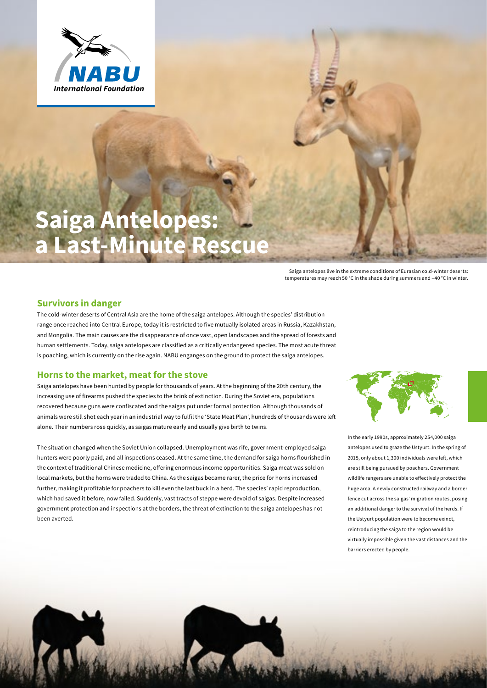

# **Saiga Antelopes: a Last-Minute Rescue**

Saiga antelopes live in the extreme conditions of Eurasian cold-winter deserts: temperatures may reach 50 °C in the shade during summers and –40 °C in winter.

#### **Survivors in danger**

The cold-winter deserts of Central Asia are the home of the saiga antelopes. Although the species' distribution range once reached into Central Europe, today it is restricted to five mutually isolated areas in Russia, Kazakhstan, and Mongolia. The main causes are the disappearance of once vast, open landscapes and the spread of forests and human settlements. Today, saiga antelopes are classified as a critically endangered species. The most acute threat is poaching, which is currently on the rise again. NABU enganges on the ground to protect the saiga antelopes.

#### **Horns to the market, meat for the stove**

Saiga antelopes have been hunted by people for thousands of years. At the beginning of the 20th century, the increasing use of firearms pushed the species to the brink of extinction. During the Soviet era, populations recovered because guns were confiscated and the saigas put under formal protection. Although thousands of animals were still shot each year in an industrial way to fulfil the 'State Meat Plan', hundreds of thousands were left alone. Their numbers rose quickly, as saigas mature early and usually give birth to twins.

The situation changed when the Soviet Union collapsed. Unemployment was rife, government-employed saiga hunters were poorly paid, and all inspections ceased. At the same time, the demand for saiga horns flourished in the context of traditional Chinese medicine, offering enormous income opportunities. Saiga meat was sold on local markets, but the horns were traded to China. As the saigas became rarer, the price for horns increased further, making it profitable for poachers to kill even the last buck in a herd. The species' rapid reproduction, which had saved it before, now failed. Suddenly, vast tracts of steppe were devoid of saigas. Despite increased government protection and inspections at the borders, the threat of extinction to the saiga antelopes has not been averted.



In the early 1990s, approximately 254,000 saiga antelopes used to graze the Ustyurt. In the spring of 2015, only about 1,300 individuals were left, which are still being pursued by poachers. Government wildlife rangers are unable to effectively protect the huge area. A newly constructed railway and a border fence cut across the saigas' migration routes, posing an additional danger to the survival of the herds. If the Ustyurt population were to become exinct, reintroducing the saiga to the region would be virtually impossible given the vast distances and the barriers erected by people.